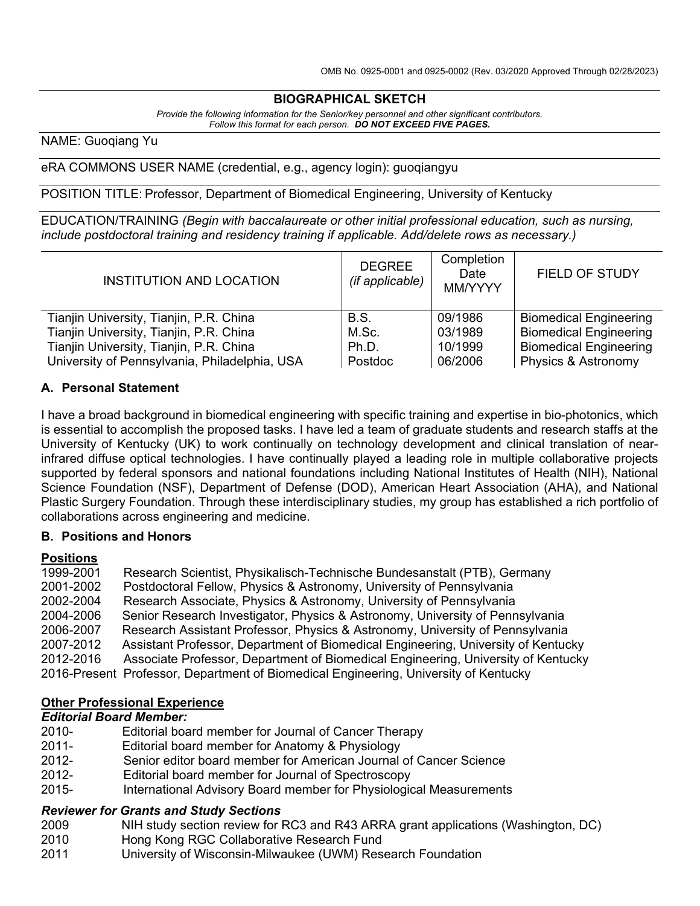### **BIOGRAPHICAL SKETCH**

*Provide the following information for the Senior/key personnel and other significant contributors. Follow this format for each person. DO NOT EXCEED FIVE PAGES.*

NAME: Guoqiang Yu

eRA COMMONS USER NAME (credential, e.g., agency login): guoqiangyu

POSITION TITLE: Professor, Department of Biomedical Engineering, University of Kentucky

EDUCATION/TRAINING *(Begin with baccalaureate or other initial professional education, such as nursing, include postdoctoral training and residency training if applicable. Add/delete rows as necessary.)*

| <b>INSTITUTION AND LOCATION</b>               | <b>DEGREE</b><br>(if applicable) | Completion<br>Date<br>MM/YYYY | <b>FIELD OF STUDY</b>          |
|-----------------------------------------------|----------------------------------|-------------------------------|--------------------------------|
| Tianjin University, Tianjin, P.R. China       | B.S.                             | 09/1986                       | <b>Biomedical Engineering</b>  |
| Tianjin University, Tianjin, P.R. China       | M.Sc.                            | 03/1989                       | <b>Biomedical Engineering</b>  |
| Tianjin University, Tianjin, P.R. China       | Ph.D.                            | 10/1999                       | <b>Biomedical Engineering</b>  |
| University of Pennsylvania, Philadelphia, USA | Postdoc                          | 06/2006                       | <b>Physics &amp; Astronomy</b> |

### **A. Personal Statement**

I have a broad background in biomedical engineering with specific training and expertise in bio-photonics, which is essential to accomplish the proposed tasks. I have led a team of graduate students and research staffs at the University of Kentucky (UK) to work continually on technology development and clinical translation of nearinfrared diffuse optical technologies. I have continually played a leading role in multiple collaborative projects supported by federal sponsors and national foundations including National Institutes of Health (NIH), National Science Foundation (NSF), Department of Defense (DOD), American Heart Association (AHA), and National Plastic Surgery Foundation. Through these interdisciplinary studies, my group has established a rich portfolio of collaborations across engineering and medicine.

### **B. Positions and Honors**

# **Positions**

Research Scientist, Physikalisch-Technische Bundesanstalt (PTB), Germany 2001-2002 Postdoctoral Fellow, Physics & Astronomy, University of Pennsylvania 2002-2004 Research Associate, Physics & Astronomy, University of Pennsylvania 2004-2006 Senior Research Investigator, Physics & Astronomy, University of Pennsylvania Research Assistant Professor, Physics & Astronomy, University of Pennsylvania 2007-2012 Assistant Professor, Department of Biomedical Engineering, University of Kentucky 2012-2016 Associate Professor, Department of Biomedical Engineering, University of Kentucky 2016-Present Professor, Department of Biomedical Engineering, University of Kentucky

### **Other Professional Experience**

### *Editorial Board Member:*

- 2010- Editorial board member for Journal of Cancer Therapy
- 2011- Editorial board member for Anatomy & Physiology
- 2012- Senior editor board member for American Journal of Cancer Science<br>2012- Editorial board member for Journal of Spectroscopy
- Editorial board member for Journal of Spectroscopy
- 2015- International Advisory Board member for Physiological Measurements

# *Reviewer for Grants and Study Sections*

- NIH study section review for RC3 and R43 ARRA grant applications (Washington, DC)
- 2010 Hong Kong RGC Collaborative Research Fund
- 2011 University of Wisconsin-Milwaukee (UWM) Research Foundation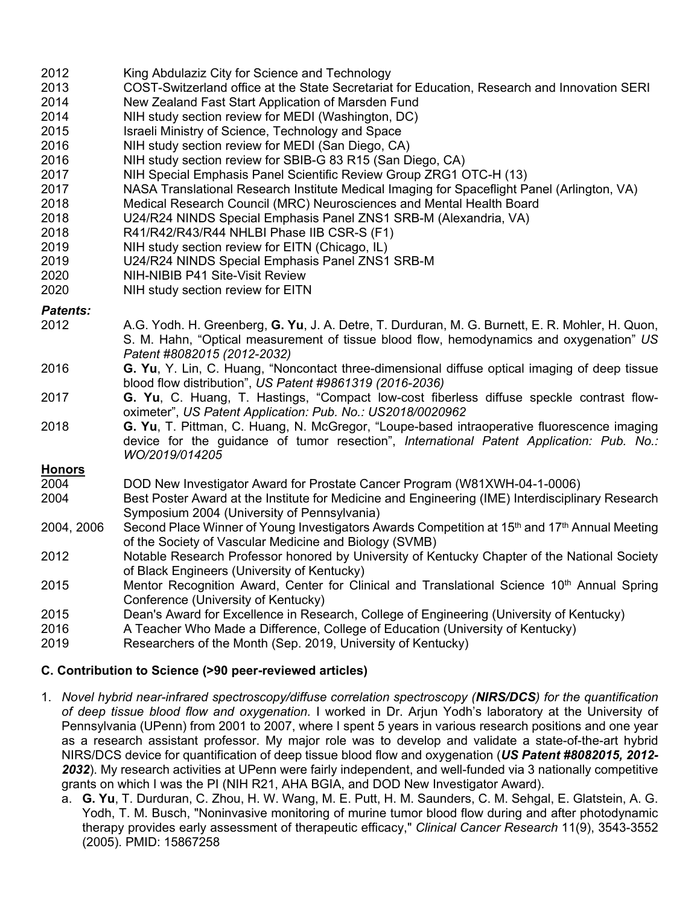| 2012 | King Abdulaziz City for Science and Technology |
|------|------------------------------------------------|
|------|------------------------------------------------|

- 2013 COST-Switzerland office at the State Secretariat for Education, Research and Innovation SERI
- 2014 New Zealand Fast Start Application of Marsden Fund
- 2014 NIH study section review for MEDI (Washington, DC)
- 2015 Israeli Ministry of Science, Technology and Space
- 2016 NIH study section review for MEDI (San Diego, CA)
- 2016 NIH study section review for SBIB-G 83 R15 (San Diego, CA)
- 2017 NIH Special Emphasis Panel Scientific Review Group ZRG1 OTC-H (13)
- 2017 NASA Translational Research Institute Medical Imaging for Spaceflight Panel (Arlington, VA)
- 2018 Medical Research Council (MRC) Neurosciences and Mental Health Board
- 2018 U24/R24 NINDS Special Emphasis Panel ZNS1 SRB-M (Alexandria, VA)
- 2018 R41/R42/R43/R44 NHLBI Phase IIB CSR-S (F1)
- 2019 NIH study section review for EITN (Chicago, IL)
- 2019 U24/R24 NINDS Special Emphasis Panel ZNS1 SRB-M
- 2020 NIH-NIBIB P41 Site-Visit Review
- 2020 NIH study section review for EITN

### *Patents:*

- 2012 A.G. Yodh. H. Greenberg, **G. Yu**, J. A. Detre, T. Durduran, M. G. Burnett, E. R. Mohler, H. Quon, S. M. Hahn, "Optical measurement of tissue blood flow, hemodynamics and oxygenation" *US Patent #8082015 (2012-2032)*
- 2016 **G. Yu**, Y. Lin, C. Huang, "Noncontact three-dimensional diffuse optical imaging of deep tissue blood flow distribution", *US Patent #9861319 (2016-2036)*
- 2017 **G. Yu**, C. Huang, T. Hastings, "Compact low-cost fiberless diffuse speckle contrast flowoximeter", *US Patent Application: Pub. No.: US2018/0020962*
- 2018 **G. Yu**, T. Pittman, C. Huang, N. McGregor, "Loupe-based intraoperative fluorescence imaging device for the guidance of tumor resection", *International Patent Application: Pub. No.: WO/2019/014205*

## **Honors**<br>2004

- 2004 DOD New Investigator Award for Prostate Cancer Program (W81XWH-04-1-0006)
- 2004 Best Poster Award at the Institute for Medicine and Engineering (IME) Interdisciplinary Research Symposium 2004 (University of Pennsylvania)
- 2004, 2006 Second Place Winner of Young Investigators Awards Competition at 15<sup>th</sup> and 17<sup>th</sup> Annual Meeting of the Society of Vascular Medicine and Biology (SVMB)
- 2012 Notable Research Professor honored by University of Kentucky Chapter of the National Society of Black Engineers (University of Kentucky)
- 2015 Mentor Recognition Award, Center for Clinical and Translational Science 10<sup>th</sup> Annual Spring Conference (University of Kentucky)
- 2015 Dean's Award for Excellence in Research, College of Engineering (University of Kentucky)
- 2016 A Teacher Who Made a Difference, College of Education (University of Kentucky)
- 2019 Researchers of the Month (Sep. 2019, University of Kentucky)

### **C. Contribution to Science (>90 peer-reviewed articles)**

- 1. *Novel hybrid near-infrared spectroscopy/diffuse correlation spectroscopy (NIRS/DCS) for the quantification of deep tissue blood flow and oxygenation.* I worked in Dr. Arjun Yodh's laboratory at the University of Pennsylvania (UPenn) from 2001 to 2007, where I spent 5 years in various research positions and one year as a research assistant professor. My major role was to develop and validate a state-of-the-art hybrid NIRS/DCS device for quantification of deep tissue blood flow and oxygenation (*US Patent #8082015, 2012- 2032*). My research activities at UPenn were fairly independent, and well-funded via 3 nationally competitive grants on which I was the PI (NIH R21, AHA BGIA, and DOD New Investigator Award).
	- a. **G. Yu**, T. Durduran, C. Zhou, H. W. Wang, M. E. Putt, H. M. Saunders, C. M. Sehgal, E. Glatstein, A. G. Yodh, T. M. Busch, "Noninvasive monitoring of murine tumor blood flow during and after photodynamic therapy provides early assessment of therapeutic efficacy," *Clinical Cancer Research* 11(9), 3543-3552 (2005). PMID: 15867258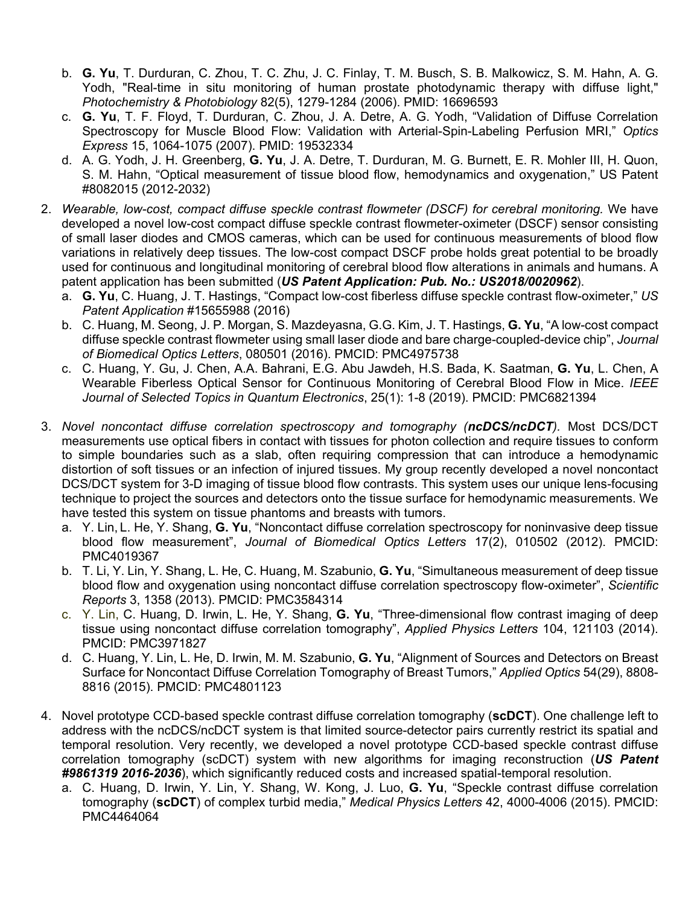- b. **G. Yu**, T. Durduran, C. Zhou, T. C. Zhu, J. C. Finlay, T. M. Busch, S. B. Malkowicz, S. M. Hahn, A. G. Yodh, "Real-time in situ monitoring of human prostate photodynamic therapy with diffuse light," *Photochemistry & Photobiology* 82(5), 1279-1284 (2006). PMID: 16696593
- c. **G. Yu**, T. F. Floyd, T. Durduran, C. Zhou, J. A. Detre, A. G. Yodh, "Validation of Diffuse Correlation Spectroscopy for Muscle Blood Flow: Validation with Arterial-Spin-Labeling Perfusion MRI," *Optics Express* 15, 1064-1075 (2007). PMID: 19532334
- d. A. G. Yodh, J. H. Greenberg, **G. Yu**, J. A. Detre, T. Durduran, M. G. Burnett, E. R. Mohler III, H. Quon, S. M. Hahn, "Optical measurement of tissue blood flow, hemodynamics and oxygenation," US Patent #8082015 (2012-2032)
- 2. *Wearable, low-cost, compact diffuse speckle contrast flowmeter (DSCF) for cerebral monitoring.* We have developed a novel low-cost compact diffuse speckle contrast flowmeter-oximeter (DSCF) sensor consisting of small laser diodes and CMOS cameras, which can be used for continuous measurements of blood flow variations in relatively deep tissues. The low-cost compact DSCF probe holds great potential to be broadly used for continuous and longitudinal monitoring of cerebral blood flow alterations in animals and humans. A patent application has been submitted (*US Patent Application: Pub. No.: US2018/0020962*).
	- a. **G. Yu**, C. Huang, J. T. Hastings, "Compact low-cost fiberless diffuse speckle contrast flow-oximeter," *US Patent Application* #15655988 (2016)
	- b. C. Huang, M. Seong, J. P. Morgan, S. Mazdeyasna, G.G. Kim, J. T. Hastings, **G. Yu**, "A low-cost compact diffuse speckle contrast flowmeter using small laser diode and bare charge-coupled-device chip", *Journal of Biomedical Optics Letters*, 080501 (2016). PMCID: PMC4975738
	- c. C. Huang, Y. Gu, J. Chen, A.A. Bahrani, E.G. Abu Jawdeh, H.S. Bada, K. Saatman, **G. Yu**, L. Chen, A Wearable Fiberless Optical Sensor for Continuous Monitoring of Cerebral Blood Flow in Mice. *IEEE Journal of Selected Topics in Quantum Electronics*, 25(1): 1-8 (2019). PMCID: PMC6821394
- 3. *Novel noncontact diffuse correlation spectroscopy and tomography (ncDCS/ncDCT).* Most DCS/DCT measurements use optical fibers in contact with tissues for photon collection and require tissues to conform to simple boundaries such as a slab, often requiring compression that can introduce a hemodynamic distortion of soft tissues or an infection of injured tissues. My group recently developed a novel noncontact DCS/DCT system for 3-D imaging of tissue blood flow contrasts. This system uses our unique lens-focusing technique to project the sources and detectors onto the tissue surface for hemodynamic measurements. We have tested this system on tissue phantoms and breasts with tumors.
	- a. Y. Lin, L. He, Y. Shang, **G. Yu**, "Noncontact diffuse correlation spectroscopy for noninvasive deep tissue blood flow measurement", *Journal of Biomedical Optics Letters* 17(2), 010502 (2012). PMCID: PMC4019367
	- b. T. Li, Y. Lin, Y. Shang, L. He, C. Huang, M. Szabunio, **G. Yu**, "Simultaneous measurement of deep tissue blood flow and oxygenation using noncontact diffuse correlation spectroscopy flow-oximeter", *Scientific Reports* 3, 1358 (2013). PMCID: PMC3584314
	- c. Y. Lin, C. Huang, D. Irwin, L. He, Y. Shang, **G. Yu**, "Three-dimensional flow contrast imaging of deep tissue using noncontact diffuse correlation tomography", *Applied Physics Letters* 104, 121103 (2014). PMCID: PMC3971827
	- d. C. Huang, Y. Lin, L. He, D. Irwin, M. M. Szabunio, **G. Yu**, "Alignment of Sources and Detectors on Breast Surface for Noncontact Diffuse Correlation Tomography of Breast Tumors," *Applied Optics* 54(29), 8808- 8816 (2015). PMCID: PMC4801123
- 4. Novel prototype CCD-based speckle contrast diffuse correlation tomography (**scDCT**). One challenge left to address with the ncDCS/ncDCT system is that limited source-detector pairs currently restrict its spatial and temporal resolution. Very recently, we developed a novel prototype CCD-based speckle contrast diffuse correlation tomography (scDCT) system with new algorithms for imaging reconstruction (*US Patent #9861319 2016-2036*), which significantly reduced costs and increased spatial-temporal resolution.
	- a. C. Huang, D. Irwin, Y. Lin, Y. Shang, W. Kong, J. Luo, **G. Yu**, "Speckle contrast diffuse correlation tomography (**scDCT**) of complex turbid media," *Medical Physics Letters* 42, 4000-4006 (2015). PMCID: PMC4464064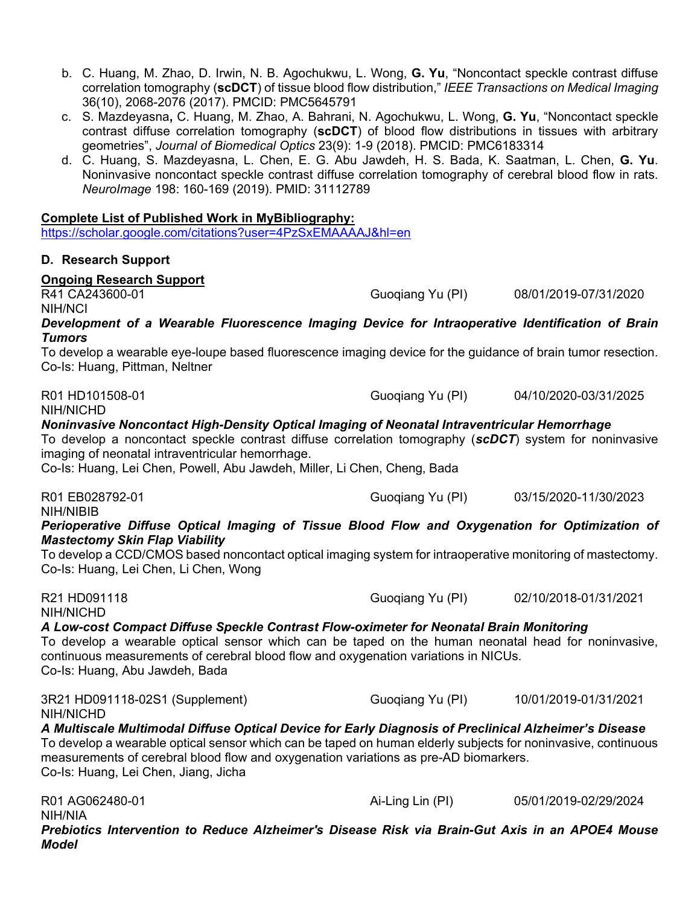- b. C. Huang, M. Zhao, D. Irwin, N. B. Agochukwu, L. Wong, **G. Yu**, "Noncontact speckle contrast diffuse correlation tomography (**scDCT**) of tissue blood flow distribution," *IEEE Transactions on Medical Imaging*  36(10), 2068-2076 (2017). PMCID: PMC5645791
- c. S. Mazdeyasna**,** C. Huang, M. Zhao, A. Bahrani, N. Agochukwu, L. Wong, **G. Yu**, "Noncontact speckle contrast diffuse correlation tomography (**scDCT**) of blood flow distributions in tissues with arbitrary geometries", *Journal of Biomedical Optics* 23(9): 1-9 (2018). PMCID: PMC6183314
- d. C. Huang, S. Mazdeyasna, L. Chen, E. G. Abu Jawdeh, H. S. Bada, K. Saatman, L. Chen, **G. Yu**. Noninvasive noncontact speckle contrast diffuse correlation tomography of cerebral blood flow in rats. *NeuroImage* 198: 160-169 (2019). PMID: 31112789

### **Complete List of Published Work in MyBibliography:**

<https://scholar.google.com/citations?user=4PzSxEMAAAAJ&hl=en>

### **D. Research Support**

# **Ongoing Research Support**

NIH/NCI

Guogiang Yu (PI) 08/01/2019-07/31/2020

*Development of a Wearable Fluorescence Imaging Device for Intraoperative Identification of Brain Tumors*

To develop a wearable eye-loupe based fluorescence imaging device for the guidance of brain tumor resection. Co-Is: Huang, Pittman, Neltner

NIH/NICHD

R01 HD101508-01 Guoqiang Yu (PI) 04/10/2020-03/31/2025

### *Noninvasive Noncontact High-Density Optical Imaging of Neonatal Intraventricular Hemorrhage*

To develop a noncontact speckle contrast diffuse correlation tomography (*scDCT*) system for noninvasive imaging of neonatal intraventricular hemorrhage.

Co-Is: Huang, Lei Chen, Powell, Abu Jawdeh, Miller, Li Chen, Cheng, Bada

R01 EB028792-01 Guoqiang Yu (PI) 03/15/2020-11/30/2023 NIH/NIBIB

*Perioperative Diffuse Optical Imaging of Tissue Blood Flow and Oxygenation for Optimization of Mastectomy Skin Flap Viability*

To develop a CCD/CMOS based noncontact optical imaging system for intraoperative monitoring of mastectomy. Co-Is: Huang, Lei Chen, Li Chen, Wong

R21 HD091118 **CONSERVATE:** CONSERVATE: CONSERVATE: CONSERVATE: CONSERVATE: CONSERVATE: CONSERVATE: CONSERVATE: CON NIH/NICHD

*A Low-cost Compact Diffuse Speckle Contrast Flow-oximeter for Neonatal Brain Monitoring* To develop a wearable optical sensor which can be taped on the human neonatal head for noninvasive, continuous measurements of cerebral blood flow and oxygenation variations in NICUs. Co-Is: Huang, Abu Jawdeh, Bada

3R21 HD091118-02S1 (Supplement) Guoqiang Yu (PI) 10/01/2019-01/31/2021 NIH/NICHD

### *A Multiscale Multimodal Diffuse Optical Device for Early Diagnosis of Preclinical Alzheimer's Disease*

To develop a wearable optical sensor which can be taped on human elderly subjects for noninvasive, continuous measurements of cerebral blood flow and oxygenation variations as pre-AD biomarkers. Co-Is: Huang, Lei Chen, Jiang, Jicha

R01 AG062480-01 Ai-Ling Lin (PI) 05/01/2019-02/29/2024 NIH/NIA *Prebiotics Intervention to Reduce Alzheimer's Disease Risk via Brain-Gut Axis in an APOE4 Mouse Model*